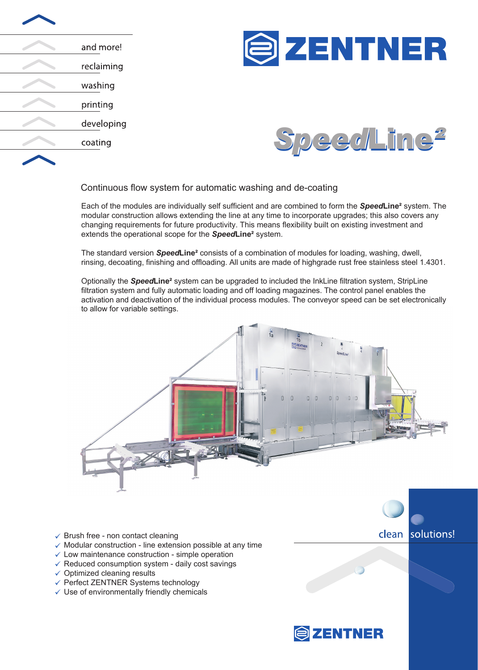| and more!  |
|------------|
| reclaiming |
| washing    |
| printing   |
| developing |
| coating    |
|            |





## Continuous flow system for automatic washing and de-coating

Each of the modules are individually self sufficient and are combined to form the *Speed***Line²** system. The modular construction allows extending the line at any time to incorporate upgrades; this also covers any changing requirements for future productivity. This means flexibility built on existing investment and extends the operational scope for the *Speed***Line²** system.

The standard version *Speed***Line²** consists of a combination of modules for loading, washing, dwell, rinsing, decoating, finishing and offloading. All units are made of highgrade rust free stainless steel 1.4301.

Optionally the *Speed***Line²** system can be upgraded to included the InkLine filtration system, StripLine filtration system and fully automatic loading and off loading magazines. The control panel enables the activation and deactivation of the individual process modules. The conveyor speed can be set electronically to allow for variable settings.



- $\checkmark$  Brush free non contact cleaning
- $\checkmark$  Modular construction line extension possible at any time
- $\checkmark$  Low maintenance construction simple operation
- $\checkmark$  Reduced consumption system daily cost savings
- $\checkmark$  Optimized cleaning results
- Perfect ZENTNER Systems technology
- $\checkmark$  Use of environmentally friendly chemicals



solutions!

clean